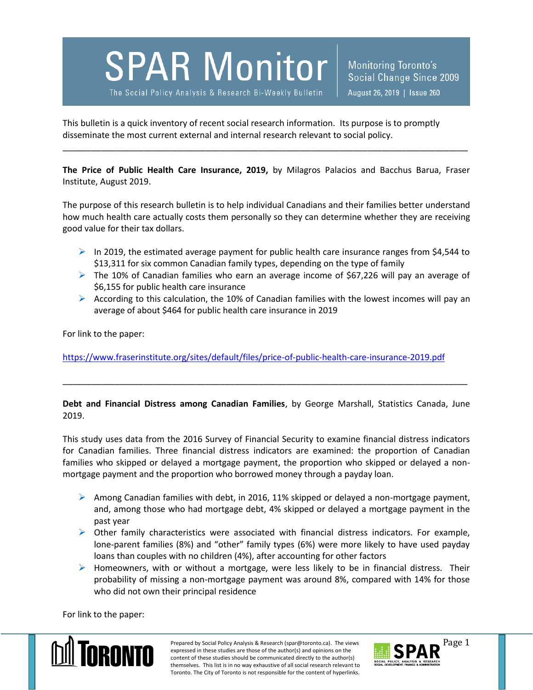**SPAR Monitor** 

The Social Policy Analysis & Research Bi-Weekly Bulletin

Monitoring Toronto's Social Change Since 2009 August 26, 2019 | Issue 260

This bulletin is a quick inventory of recent social research information. Its purpose is to promptly disseminate the most current external and internal research relevant to social policy.

**The Price of Public Health Care Insurance, 2019,** by Milagros Palacios and Bacchus Barua, Fraser Institute, August 2019.

\_\_\_\_\_\_\_\_\_\_\_\_\_\_\_\_\_\_\_\_\_\_\_\_\_\_\_\_\_\_\_\_\_\_\_\_\_\_\_\_\_\_\_\_\_\_\_\_\_\_\_\_\_\_\_\_\_\_\_\_\_\_\_\_\_\_\_\_\_\_\_\_\_\_\_\_\_\_\_\_\_\_\_\_\_

The purpose of this research bulletin is to help individual Canadians and their families better understand how much health care actually costs them personally so they can determine whether they are receiving good value for their tax dollars.

- In 2019, the estimated average payment for public health care insurance ranges from \$4,544 to \$13,311 for six common Canadian family types, depending on the type of family
- $\triangleright$  The 10% of Canadian families who earn an average income of \$67,226 will pay an average of \$6,155 for public health care insurance
- According to this calculation, the 10% of Canadian families with the lowest incomes will pay an average of about \$464 for public health care insurance in 2019

For link to the paper:

<https://www.fraserinstitute.org/sites/default/files/price-of-public-health-care-insurance-2019.pdf>

**Debt and Financial Distress among Canadian Families**, by George Marshall, Statistics Canada, June 2019.

\_\_\_\_\_\_\_\_\_\_\_\_\_\_\_\_\_\_\_\_\_\_\_\_\_\_\_\_\_\_\_\_\_\_\_\_\_\_\_\_\_\_\_\_\_\_\_\_\_\_\_\_\_\_\_\_\_\_\_\_\_\_\_\_\_\_\_\_\_\_\_\_\_\_\_\_\_\_\_\_\_\_\_\_\_

This study uses data from the 2016 Survey of Financial Security to examine financial distress indicators for Canadian families. Three financial distress indicators are examined: the proportion of Canadian families who skipped or delayed a mortgage payment, the proportion who skipped or delayed a nonmortgage payment and the proportion who borrowed money through a payday loan.

- Among Canadian families with debt, in 2016, 11% skipped or delayed a non-mortgage payment, and, among those who had mortgage debt, 4% skipped or delayed a mortgage payment in the past year
- $\triangleright$  Other family characteristics were associated with financial distress indicators. For example, lone-parent families (8%) and "other" family types (6%) were more likely to have used payday loans than couples with no children (4%), after accounting for other factors
- $\triangleright$  Homeowners, with or without a mortgage, were less likely to be in financial distress. Their probability of missing a non-mortgage payment was around 8%, compared with 14% for those who did not own their principal residence

For link to the paper:



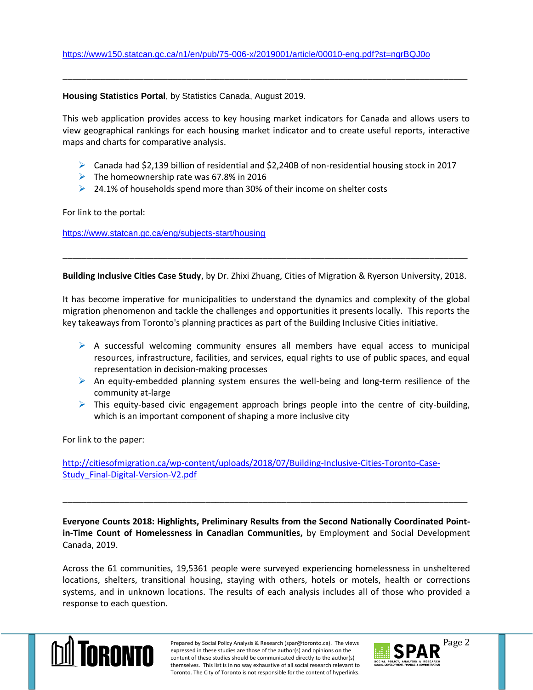## **Housing Statistics Portal**, by Statistics Canada, August 2019.

This web application provides access to key housing market indicators for Canada and allows users to view geographical rankings for each housing market indicator and to create useful reports, interactive maps and charts for comparative analysis.

\_\_\_\_\_\_\_\_\_\_\_\_\_\_\_\_\_\_\_\_\_\_\_\_\_\_\_\_\_\_\_\_\_\_\_\_\_\_\_\_\_\_\_\_\_\_\_\_\_\_\_\_\_\_\_\_\_\_\_\_\_\_\_\_\_\_\_\_\_\_\_\_\_\_\_\_\_\_\_\_\_\_\_\_\_

- $\triangleright$  Canada had \$2,139 billion of residential and \$2,240B of non-residential housing stock in 2017
- $\triangleright$  The homeownership rate was 67.8% in 2016
- $\geq 24.1\%$  of households spend more than 30% of their income on shelter costs

For link to the portal:

<https://www.statcan.gc.ca/eng/subjects-start/housing>

**Building Inclusive Cities Case Study**, by Dr. Zhixi Zhuang, Cities of Migration & Ryerson University, 2018.

\_\_\_\_\_\_\_\_\_\_\_\_\_\_\_\_\_\_\_\_\_\_\_\_\_\_\_\_\_\_\_\_\_\_\_\_\_\_\_\_\_\_\_\_\_\_\_\_\_\_\_\_\_\_\_\_\_\_\_\_\_\_\_\_\_\_\_\_\_\_\_\_\_\_\_\_\_\_\_\_\_\_\_\_\_

It has become imperative for municipalities to understand the dynamics and complexity of the global migration phenomenon and tackle the challenges and opportunities it presents locally. This reports the key takeaways from Toronto's planning practices as part of the Building Inclusive Cities initiative.

- $\triangleright$  A successful welcoming community ensures all members have equal access to municipal resources, infrastructure, facilities, and services, equal rights to use of public spaces, and equal representation in decision-making processes
- $\triangleright$  An equity-embedded planning system ensures the well-being and long-term resilience of the community at-large
- $\triangleright$  This equity-based civic engagement approach brings people into the centre of city-building, which is an important component of shaping a more inclusive city

For link to the paper:

[http://citiesofmigration.ca/wp-content/uploads/2018/07/Building-Inclusive-Cities-Toronto-Case-](http://citiesofmigration.ca/wp-content/uploads/2018/07/Building-Inclusive-Cities-Toronto-Case-Study_Final-Digital-Version-V2.pdf)[Study\\_Final-Digital-Version-V2.pdf](http://citiesofmigration.ca/wp-content/uploads/2018/07/Building-Inclusive-Cities-Toronto-Case-Study_Final-Digital-Version-V2.pdf)

**Everyone Counts 2018: Highlights, Preliminary Results from the Second Nationally Coordinated Pointin-Time Count of Homelessness in Canadian Communities,** by Employment and Social Development Canada, 2019.

\_\_\_\_\_\_\_\_\_\_\_\_\_\_\_\_\_\_\_\_\_\_\_\_\_\_\_\_\_\_\_\_\_\_\_\_\_\_\_\_\_\_\_\_\_\_\_\_\_\_\_\_\_\_\_\_\_\_\_\_\_\_\_\_\_\_\_\_\_\_\_\_\_\_\_\_\_\_\_\_\_\_\_\_\_

Across the 61 communities, 19,5361 people were surveyed experiencing homelessness in unsheltered locations, shelters, transitional housing, staying with others, hotels or motels, health or corrections systems, and in unknown locations. The results of each analysis includes all of those who provided a response to each question.